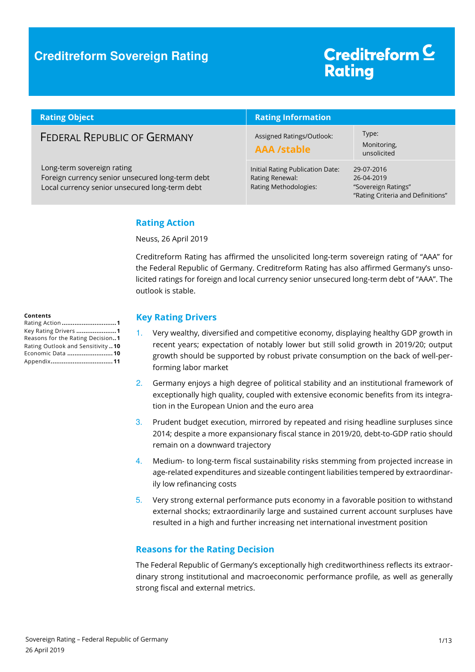### **Creditreform Sovereign Rating**

# Creditreform<sup>C</sup> **Rating**

| <b>Rating Object</b>                                                                                                             | <b>Rating Information</b>                                                    |                                                                                      |
|----------------------------------------------------------------------------------------------------------------------------------|------------------------------------------------------------------------------|--------------------------------------------------------------------------------------|
| <b>FEDERAL REPUBLIC OF GERMANY</b>                                                                                               | Assigned Ratings/Outlook:<br><b>AAA /stable</b>                              | Type:<br>Monitoring,<br>unsolicited                                                  |
| Long-term sovereign rating<br>Foreign currency senior unsecured long-term debt<br>Local currency senior unsecured long-term debt | Initial Rating Publication Date:<br>Rating Renewal:<br>Rating Methodologies: | 29-07-2016<br>26-04-2019<br>"Sovereign Ratings"<br>"Rating Criteria and Definitions" |

#### **Rating Action**

Neuss, 26 April 2019

Creditreform Rating has affirmed the unsolicited long-term sovereign rating of "AAA" for the Federal Republic of Germany. Creditreform Rating has also affirmed Germany's unsolicited ratings for foreign and local currency senior unsecured long-term debt of "AAA". The outlook is stable.

#### **Contents**

| Rating Action 1                  |
|----------------------------------|
| Key Rating Drivers 1             |
| Reasons for the Rating Decision1 |
| Rating Outlook and Sensitivity10 |
| Economic Data  10                |
|                                  |

#### **Key Rating Drivers**

- 1. Very wealthy, diversified and competitive economy, displaying healthy GDP growth in recent years; expectation of notably lower but still solid growth in 2019/20; output growth should be supported by robust private consumption on the back of well-performing labor market
- 2. Germany enjoys a high degree of political stability and an institutional framework of exceptionally high quality, coupled with extensive economic benefits from its integration in the European Union and the euro area
- 3. Prudent budget execution, mirrored by repeated and rising headline surpluses since 2014; despite a more expansionary fiscal stance in 2019/20, debt-to-GDP ratio should remain on a downward trajectory
- 4. Medium- to long-term fiscal sustainability risks stemming from projected increase in age-related expenditures and sizeable contingent liabilities tempered by extraordinarily low refinancing costs
- 5. Very strong external performance puts economy in a favorable position to withstand external shocks; extraordinarily large and sustained current account surpluses have resulted in a high and further increasing net international investment position

#### **Reasons for the Rating Decision**

The Federal Republic of Germany's exceptionally high creditworthiness reflects its extraordinary strong institutional and macroeconomic performance profile, as well as generally strong fiscal and external metrics.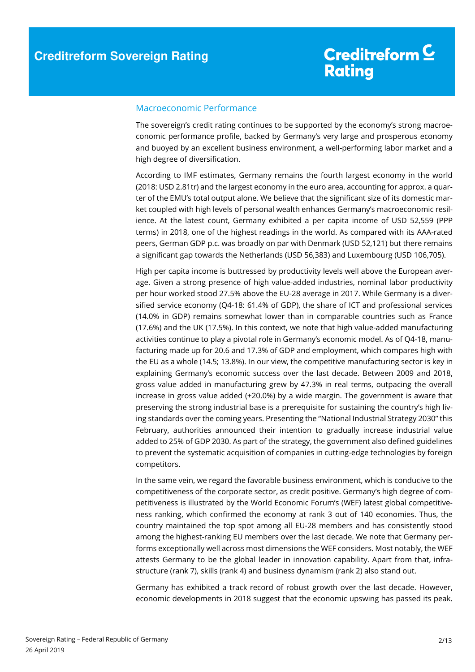#### Macroeconomic Performance

The sovereign's credit rating continues to be supported by the economy's strong macroeconomic performance profile, backed by Germany's very large and prosperous economy and buoyed by an excellent business environment, a well-performing labor market and a high degree of diversification.

According to IMF estimates, Germany remains the fourth largest economy in the world (2018: USD 2.81tr) and the largest economy in the euro area, accounting for approx. a quarter of the EMU's total output alone. We believe that the significant size of its domestic market coupled with high levels of personal wealth enhances Germany's macroeconomic resilience. At the latest count, Germany exhibited a per capita income of USD 52,559 (PPP terms) in 2018, one of the highest readings in the world. As compared with its AAA-rated peers, German GDP p.c. was broadly on par with Denmark (USD 52,121) but there remains a significant gap towards the Netherlands (USD 56,383) and Luxembourg (USD 106,705).

High per capita income is buttressed by productivity levels well above the European average. Given a strong presence of high value-added industries, nominal labor productivity per hour worked stood 27.5% above the EU-28 average in 2017. While Germany is a diversified service economy (Q4-18: 61.4% of GDP), the share of ICT and professional services (14.0% in GDP) remains somewhat lower than in comparable countries such as France (17.6%) and the UK (17.5%). In this context, we note that high value-added manufacturing activities continue to play a pivotal role in Germany's economic model. As of Q4-18, manufacturing made up for 20.6 and 17.3% of GDP and employment, which compares high with the EU as a whole (14.5; 13.8%). In our view, the competitive manufacturing sector is key in explaining Germany's economic success over the last decade. Between 2009 and 2018, gross value added in manufacturing grew by 47.3% in real terms, outpacing the overall increase in gross value added (+20.0%) by a wide margin. The government is aware that preserving the strong industrial base is a prerequisite for sustaining the country's high living standards over the coming years. Presenting the "National Industrial Strategy 2030" this February, authorities announced their intention to gradually increase industrial value added to 25% of GDP 2030. As part of the strategy, the government also defined guidelines to prevent the systematic acquisition of companies in cutting-edge technologies by foreign competitors.

In the same vein, we regard the favorable business environment, which is conducive to the competitiveness of the corporate sector, as credit positive. Germany's high degree of competitiveness is illustrated by the World Economic Forum's (WEF) latest global competitiveness ranking, which confirmed the economy at rank 3 out of 140 economies. Thus, the country maintained the top spot among all EU-28 members and has consistently stood among the highest-ranking EU members over the last decade. We note that Germany performs exceptionally well across most dimensions the WEF considers. Most notably, the WEF attests Germany to be the global leader in innovation capability. Apart from that, infrastructure (rank 7), skills (rank 4) and business dynamism (rank 2) also stand out.

Germany has exhibited a track record of robust growth over the last decade. However, economic developments in 2018 suggest that the economic upswing has passed its peak.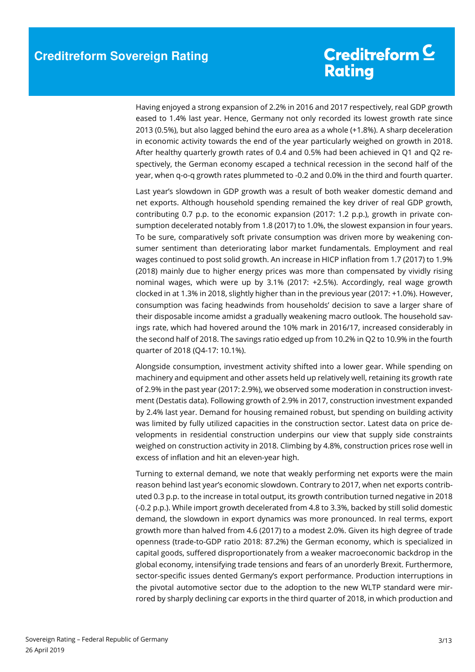Having enjoyed a strong expansion of 2.2% in 2016 and 2017 respectively, real GDP growth eased to 1.4% last year. Hence, Germany not only recorded its lowest growth rate since 2013 (0.5%), but also lagged behind the euro area as a whole (+1.8%). A sharp deceleration in economic activity towards the end of the year particularly weighed on growth in 2018. After healthy quarterly growth rates of 0.4 and 0.5% had been achieved in Q1 and Q2 respectively, the German economy escaped a technical recession in the second half of the year, when q-o-q growth rates plummeted to -0.2 and 0.0% in the third and fourth quarter.

Last year's slowdown in GDP growth was a result of both weaker domestic demand and net exports. Although household spending remained the key driver of real GDP growth, contributing 0.7 p.p. to the economic expansion (2017: 1.2 p.p.), growth in private consumption decelerated notably from 1.8 (2017) to 1.0%, the slowest expansion in four years. To be sure, comparatively soft private consumption was driven more by weakening consumer sentiment than deteriorating labor market fundamentals. Employment and real wages continued to post solid growth. An increase in HICP inflation from 1.7 (2017) to 1.9% (2018) mainly due to higher energy prices was more than compensated by vividly rising nominal wages, which were up by 3.1% (2017: +2.5%). Accordingly, real wage growth clocked in at 1.3% in 2018, slightly higher than in the previous year (2017: +1.0%). However, consumption was facing headwinds from households' decision to save a larger share of their disposable income amidst a gradually weakening macro outlook. The household savings rate, which had hovered around the 10% mark in 2016/17, increased considerably in the second half of 2018. The savings ratio edged up from 10.2% in Q2 to 10.9% in the fourth quarter of 2018 (Q4-17: 10.1%).

Alongside consumption, investment activity shifted into a lower gear. While spending on machinery and equipment and other assets held up relatively well, retaining its growth rate of 2.9% in the past year (2017: 2.9%), we observed some moderation in construction investment (Destatis data). Following growth of 2.9% in 2017, construction investment expanded by 2.4% last year. Demand for housing remained robust, but spending on building activity was limited by fully utilized capacities in the construction sector. Latest data on price developments in residential construction underpins our view that supply side constraints weighed on construction activity in 2018. Climbing by 4.8%, construction prices rose well in excess of inflation and hit an eleven-year high.

Turning to external demand, we note that weakly performing net exports were the main reason behind last year's economic slowdown. Contrary to 2017, when net exports contributed 0.3 p.p. to the increase in total output, its growth contribution turned negative in 2018 (-0.2 p.p.). While import growth decelerated from 4.8 to 3.3%, backed by still solid domestic demand, the slowdown in export dynamics was more pronounced. In real terms, export growth more than halved from 4.6 (2017) to a modest 2.0%. Given its high degree of trade openness (trade-to-GDP ratio 2018: 87.2%) the German economy, which is specialized in capital goods, suffered disproportionately from a weaker macroeconomic backdrop in the global economy, intensifying trade tensions and fears of an unorderly Brexit. Furthermore, sector-specific issues dented Germany's export performance. Production interruptions in the pivotal automotive sector due to the adoption to the new WLTP standard were mirrored by sharply declining car exports in the third quarter of 2018, in which production and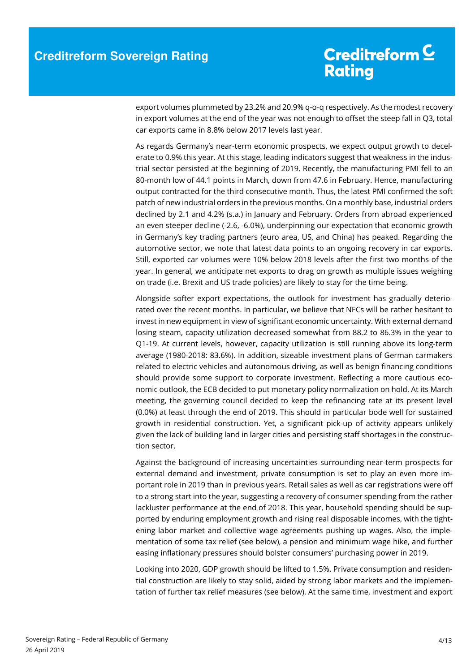export volumes plummeted by 23.2% and 20.9% q-o-q respectively. As the modest recovery in export volumes at the end of the year was not enough to offset the steep fall in Q3, total car exports came in 8.8% below 2017 levels last year.

As regards Germany's near-term economic prospects, we expect output growth to decelerate to 0.9% this year. At this stage, leading indicators suggest that weakness in the industrial sector persisted at the beginning of 2019. Recently, the manufacturing PMI fell to an 80-month low of 44.1 points in March, down from 47.6 in February. Hence, manufacturing output contracted for the third consecutive month. Thus, the latest PMI confirmed the soft patch of new industrial orders in the previous months. On a monthly base, industrial orders declined by 2.1 and 4.2% (s.a.) in January and February. Orders from abroad experienced an even steeper decline (-2.6, -6.0%), underpinning our expectation that economic growth in Germany's key trading partners (euro area, US, and China) has peaked. Regarding the automotive sector, we note that latest data points to an ongoing recovery in car exports. Still, exported car volumes were 10% below 2018 levels after the first two months of the year. In general, we anticipate net exports to drag on growth as multiple issues weighing on trade (i.e. Brexit and US trade policies) are likely to stay for the time being.

Alongside softer export expectations, the outlook for investment has gradually deteriorated over the recent months. In particular, we believe that NFCs will be rather hesitant to invest in new equipment in view of significant economic uncertainty. With external demand losing steam, capacity utilization decreased somewhat from 88.2 to 86.3% in the year to Q1-19. At current levels, however, capacity utilization is still running above its long-term average (1980-2018: 83.6%). In addition, sizeable investment plans of German carmakers related to electric vehicles and autonomous driving, as well as benign financing conditions should provide some support to corporate investment. Reflecting a more cautious economic outlook, the ECB decided to put monetary policy normalization on hold. At its March meeting, the governing council decided to keep the refinancing rate at its present level (0.0%) at least through the end of 2019. This should in particular bode well for sustained growth in residential construction. Yet, a significant pick-up of activity appears unlikely given the lack of building land in larger cities and persisting staff shortages in the construction sector.

Against the background of increasing uncertainties surrounding near-term prospects for external demand and investment, private consumption is set to play an even more important role in 2019 than in previous years. Retail sales as well as car registrations were off to a strong start into the year, suggesting a recovery of consumer spending from the rather lackluster performance at the end of 2018. This year, household spending should be supported by enduring employment growth and rising real disposable incomes, with the tightening labor market and collective wage agreements pushing up wages. Also, the implementation of some tax relief (see below), a pension and minimum wage hike, and further easing inflationary pressures should bolster consumers' purchasing power in 2019.

Looking into 2020, GDP growth should be lifted to 1.5%. Private consumption and residential construction are likely to stay solid, aided by strong labor markets and the implementation of further tax relief measures (see below). At the same time, investment and export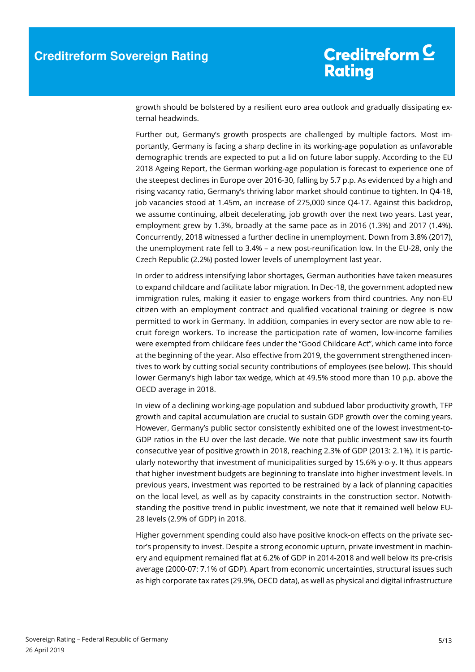growth should be bolstered by a resilient euro area outlook and gradually dissipating external headwinds.

Further out, Germany's growth prospects are challenged by multiple factors. Most importantly, Germany is facing a sharp decline in its working-age population as unfavorable demographic trends are expected to put a lid on future labor supply. According to the EU 2018 Ageing Report, the German working-age population is forecast to experience one of the steepest declines in Europe over 2016-30, falling by 5.7 p.p. As evidenced by a high and rising vacancy ratio, Germany's thriving labor market should continue to tighten. In Q4-18, job vacancies stood at 1.45m, an increase of 275,000 since Q4-17. Against this backdrop, we assume continuing, albeit decelerating, job growth over the next two years. Last year, employment grew by 1.3%, broadly at the same pace as in 2016 (1.3%) and 2017 (1.4%). Concurrently, 2018 witnessed a further decline in unemployment. Down from 3.8% (2017), the unemployment rate fell to 3.4% – a new post-reunification low. In the EU-28, only the Czech Republic (2.2%) posted lower levels of unemployment last year.

In order to address intensifying labor shortages, German authorities have taken measures to expand childcare and facilitate labor migration. In Dec-18, the government adopted new immigration rules, making it easier to engage workers from third countries. Any non-EU citizen with an employment contract and qualified vocational training or degree is now permitted to work in Germany. In addition, companies in every sector are now able to recruit foreign workers. To increase the participation rate of women, low-income families were exempted from childcare fees under the "Good Childcare Act", which came into force at the beginning of the year. Also effective from 2019, the government strengthened incentives to work by cutting social security contributions of employees (see below). This should lower Germany's high labor tax wedge, which at 49.5% stood more than 10 p.p. above the OECD average in 2018.

In view of a declining working-age population and subdued labor productivity growth, TFP growth and capital accumulation are crucial to sustain GDP growth over the coming years. However, Germany's public sector consistently exhibited one of the lowest investment-to-GDP ratios in the EU over the last decade. We note that public investment saw its fourth consecutive year of positive growth in 2018, reaching 2.3% of GDP (2013: 2.1%). It is particularly noteworthy that investment of municipalities surged by 15.6% y-o-y. It thus appears that higher investment budgets are beginning to translate into higher investment levels. In previous years, investment was reported to be restrained by a lack of planning capacities on the local level, as well as by capacity constraints in the construction sector. Notwithstanding the positive trend in public investment, we note that it remained well below EU-28 levels (2.9% of GDP) in 2018.

Higher government spending could also have positive knock-on effects on the private sector's propensity to invest. Despite a strong economic upturn, private investment in machinery and equipment remained flat at 6.2% of GDP in 2014-2018 and well below its pre-crisis average (2000-07: 7.1% of GDP). Apart from economic uncertainties, structural issues such as high corporate tax rates (29.9%, OECD data), as well as physical and digital infrastructure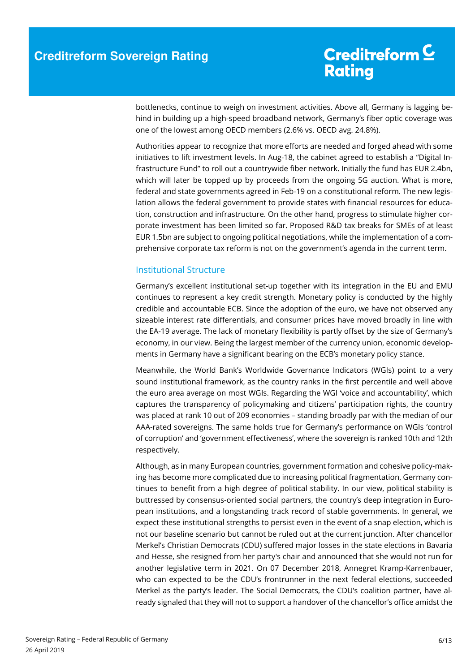bottlenecks, continue to weigh on investment activities. Above all, Germany is lagging behind in building up a high-speed broadband network, Germany's fiber optic coverage was one of the lowest among OECD members (2.6% vs. OECD avg. 24.8%).

Authorities appear to recognize that more efforts are needed and forged ahead with some initiatives to lift investment levels. In Aug-18, the cabinet agreed to establish a "Digital Infrastructure Fund" to roll out a countrywide fiber network. Initially the fund has EUR 2.4bn, which will later be topped up by proceeds from the ongoing 5G auction. What is more, federal and state governments agreed in Feb-19 on a constitutional reform. The new legislation allows the federal government to provide states with financial resources for education, construction and infrastructure. On the other hand, progress to stimulate higher corporate investment has been limited so far. Proposed R&D tax breaks for SMEs of at least EUR 1.5bn are subject to ongoing political negotiations, while the implementation of a comprehensive corporate tax reform is not on the government's agenda in the current term.

#### Institutional Structure

Germany's excellent institutional set-up together with its integration in the EU and EMU continues to represent a key credit strength. Monetary policy is conducted by the highly credible and accountable ECB. Since the adoption of the euro, we have not observed any sizeable interest rate differentials, and consumer prices have moved broadly in line with the EA-19 average. The lack of monetary flexibility is partly offset by the size of Germany's economy, in our view. Being the largest member of the currency union, economic developments in Germany have a significant bearing on the ECB's monetary policy stance.

Meanwhile, the World Bank's Worldwide Governance Indicators (WGIs) point to a very sound institutional framework, as the country ranks in the first percentile and well above the euro area average on most WGIs. Regarding the WGI 'voice and accountability', which captures the transparency of policymaking and citizens' participation rights, the country was placed at rank 10 out of 209 economies – standing broadly par with the median of our AAA-rated sovereigns. The same holds true for Germany's performance on WGIs 'control of corruption' and 'government effectiveness', where the sovereign is ranked 10th and 12th respectively.

Although, as in many European countries, government formation and cohesive policy-making has become more complicated due to increasing political fragmentation, Germany continues to benefit from a high degree of political stability. In our view, political stability is buttressed by consensus-oriented social partners, the country's deep integration in European institutions, and a longstanding track record of stable governments. In general, we expect these institutional strengths to persist even in the event of a snap election, which is not our baseline scenario but cannot be ruled out at the current junction. After chancellor Merkel's Christian Democrats (CDU) suffered major losses in the state elections in Bavaria and Hesse, she resigned from her party's chair and announced that she would not run for another legislative term in 2021. On 07 December 2018, Annegret Kramp-Karrenbauer, who can expected to be the CDU's frontrunner in the next federal elections, succeeded Merkel as the party's leader. The Social Democrats, the CDU's coalition partner, have already signaled that they will not to support a handover of the chancellor's office amidst the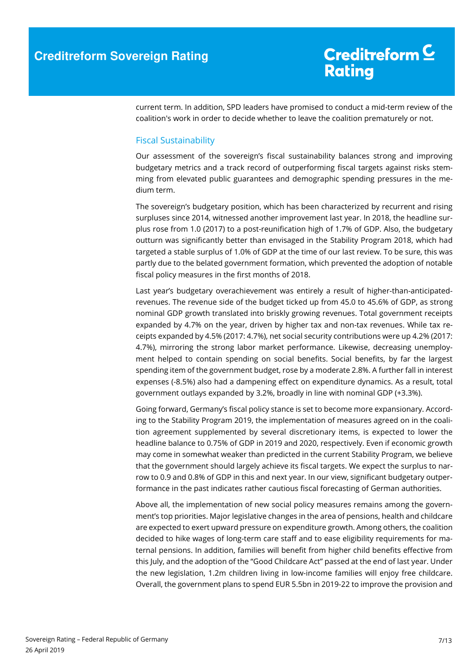current term. In addition, SPD leaders have promised to conduct a mid-term review of the coalition's work in order to decide whether to leave the coalition prematurely or not.

#### Fiscal Sustainability

Our assessment of the sovereign's fiscal sustainability balances strong and improving budgetary metrics and a track record of outperforming fiscal targets against risks stemming from elevated public guarantees and demographic spending pressures in the medium term.

The sovereign's budgetary position, which has been characterized by recurrent and rising surpluses since 2014, witnessed another improvement last year. In 2018, the headline surplus rose from 1.0 (2017) to a post-reunification high of 1.7% of GDP. Also, the budgetary outturn was significantly better than envisaged in the Stability Program 2018, which had targeted a stable surplus of 1.0% of GDP at the time of our last review. To be sure, this was partly due to the belated government formation, which prevented the adoption of notable fiscal policy measures in the first months of 2018.

Last year's budgetary overachievement was entirely a result of higher-than-anticipatedrevenues. The revenue side of the budget ticked up from 45.0 to 45.6% of GDP, as strong nominal GDP growth translated into briskly growing revenues. Total government receipts expanded by 4.7% on the year, driven by higher tax and non-tax revenues. While tax receipts expanded by 4.5% (2017: 4.7%), net social security contributions were up 4.2% (2017: 4.7%), mirroring the strong labor market performance. Likewise, decreasing unemployment helped to contain spending on social benefits. Social benefits, by far the largest spending item of the government budget, rose by a moderate 2.8%. A further fall in interest expenses (-8.5%) also had a dampening effect on expenditure dynamics. As a result, total government outlays expanded by 3.2%, broadly in line with nominal GDP (+3.3%).

Going forward, Germany's fiscal policy stance is set to become more expansionary. According to the Stability Program 2019, the implementation of measures agreed on in the coalition agreement supplemented by several discretionary items, is expected to lower the headline balance to 0.75% of GDP in 2019 and 2020, respectively. Even if economic growth may come in somewhat weaker than predicted in the current Stability Program, we believe that the government should largely achieve its fiscal targets. We expect the surplus to narrow to 0.9 and 0.8% of GDP in this and next year. In our view, significant budgetary outperformance in the past indicates rather cautious fiscal forecasting of German authorities.

Above all, the implementation of new social policy measures remains among the government's top priorities. Major legislative changes in the area of pensions, health and childcare are expected to exert upward pressure on expenditure growth. Among others, the coalition decided to hike wages of long-term care staff and to ease eligibility requirements for maternal pensions. In addition, families will benefit from higher child benefits effective from this July, and the adoption of the "Good Childcare Act" passed at the end of last year. Under the new legislation, 1.2m children living in low-income families will enjoy free childcare. Overall, the government plans to spend EUR 5.5bn in 2019-22 to improve the provision and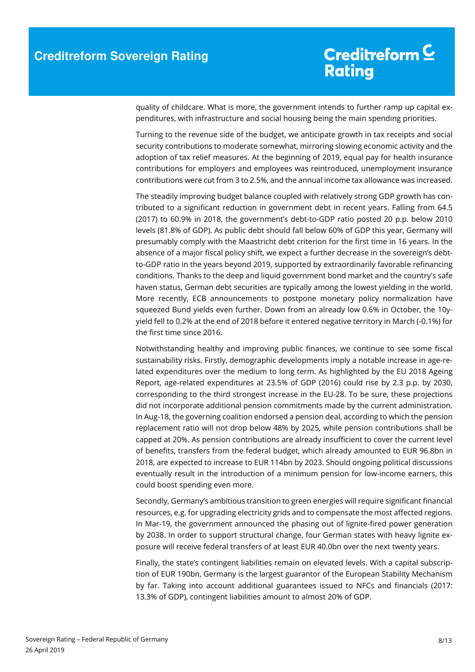quality of childcare. What is more, the government intends to further ramp up capital expenditures, with infrastructure and social housing being the main spending priorities.

Turning to the revenue side of the budget, we anticipate growth in tax receipts and social security contributions to moderate somewhat, mirroring slowing economic activity and the adoption of tax relief measures. At the beginning of 2019, equal pay for health insurance contributions for employers and employees was reintroduced, unemployment insurance contributions were cut from 3 to 2.5%, and the annual income tax allowance was increased.

The steadily improving budget balance coupled with relatively strong GDP growth has contributed to a significant reduction in government debt in recent years. Falling from 64.5 (2017) to 60.9% in 2018, the government's debt-to-GDP ratio posted 20 p.p. below 2010 levels (81.8% of GDP). As public debt should fall below 60% of GDP this year, Germany will presumably comply with the Maastricht debt criterion for the first time in 16 years. In the absence of a major fiscal policy shift, we expect a further decrease in the sovereign's debtto-GDP ratio in the years beyond 2019, supported by extraordinarily favorable refinancing conditions. Thanks to the deep and liquid government bond market and the country's safe haven status, German debt securities are typically among the lowest yielding in the world. More recently, ECB announcements to postpone monetary policy normalization have squeezed Bund yields even further. Down from an already low 0.6% in October, the 10yyield fell to 0.2% at the end of 2018 before it entered negative territory in March (-0.1%) for the first time since 2016.

Notwithstanding healthy and improving public finances, we continue to see some fiscal sustainability risks. Firstly, demographic developments imply a notable increase in age-related expenditures over the medium to long term. As highlighted by the EU 2018 Ageing Report, age-related expenditures at 23.5% of GDP (2016) could rise by 2.3 p.p. by 2030, corresponding to the third strongest increase in the EU-28. To be sure, these projections did not incorporate additional pension commitments made by the current administration. In Aug-18, the governing coalition endorsed a pension deal, according to which the pension replacement ratio will not drop below 48% by 2025, while pension contributions shall be capped at 20%. As pension contributions are already insufficient to cover the current level of benefits, transfers from the federal budget, which already amounted to EUR 96.8bn in 2018, are expected to increase to EUR 114bn by 2023. Should ongoing political discussions eventually result in the introduction of a minimum pension for low-income earners, this could boost spending even more.

Secondly, Germany's ambitious transition to green energies will require significant financial resources, e.g. for upgrading electricity grids and to compensate the most affected regions. In Mar-19, the government announced the phasing out of lignite-fired power generation by 2038. In order to support structural change, four German states with heavy lignite exposure will receive federal transfers of at least EUR 40.0bn over the next twenty years.

Finally, the state's contingent liabilities remain on elevated levels. With a capital subscription of EUR 190bn, Germany is the largest guarantor of the European Stability Mechanism by far. Taking into account additional guarantees issued to NFCs and financials (2017: 13.3% of GDP), contingent liabilities amount to almost 20% of GDP.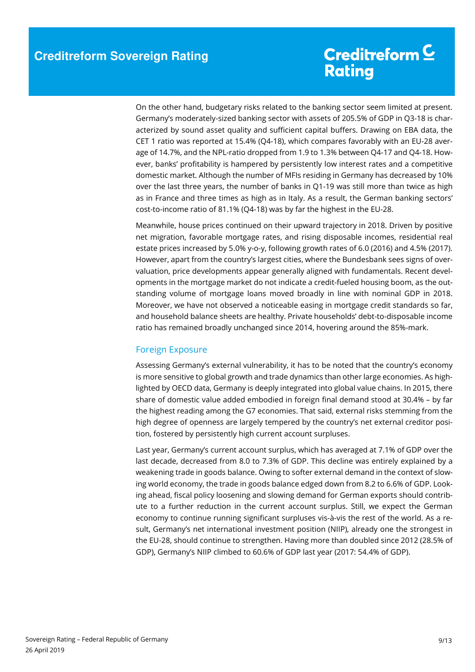On the other hand, budgetary risks related to the banking sector seem limited at present. Germany's moderately-sized banking sector with assets of 205.5% of GDP in Q3-18 is characterized by sound asset quality and sufficient capital buffers. Drawing on EBA data, the CET 1 ratio was reported at 15.4% (Q4-18), which compares favorably with an EU-28 average of 14.7%, and the NPL-ratio dropped from 1.9 to 1.3% between Q4-17 and Q4-18. However, banks' profitability is hampered by persistently low interest rates and a competitive domestic market. Although the number of MFIs residing in Germany has decreased by 10% over the last three years, the number of banks in Q1-19 was still more than twice as high as in France and three times as high as in Italy. As a result, the German banking sectors' cost-to-income ratio of 81.1% (Q4-18) was by far the highest in the EU-28.

Meanwhile, house prices continued on their upward trajectory in 2018. Driven by positive net migration, favorable mortgage rates, and rising disposable incomes, residential real estate prices increased by 5.0% y-o-y, following growth rates of 6.0 (2016) and 4.5% (2017). However, apart from the country's largest cities, where the Bundesbank sees signs of overvaluation, price developments appear generally aligned with fundamentals. Recent developments in the mortgage market do not indicate a credit-fueled housing boom, as the outstanding volume of mortgage loans moved broadly in line with nominal GDP in 2018. Moreover, we have not observed a noticeable easing in mortgage credit standards so far, and household balance sheets are healthy. Private households' debt-to-disposable income ratio has remained broadly unchanged since 2014, hovering around the 85%-mark.

### Foreign Exposure

Assessing Germany's external vulnerability, it has to be noted that the country's economy is more sensitive to global growth and trade dynamics than other large economies. As highlighted by OECD data, Germany is deeply integrated into global value chains. In 2015, there share of domestic value added embodied in foreign final demand stood at 30.4% – by far the highest reading among the G7 economies. That said, external risks stemming from the high degree of openness are largely tempered by the country's net external creditor position, fostered by persistently high current account surpluses.

Last year, Germany's current account surplus, which has averaged at 7.1% of GDP over the last decade, decreased from 8.0 to 7.3% of GDP. This decline was entirely explained by a weakening trade in goods balance. Owing to softer external demand in the context of slowing world economy, the trade in goods balance edged down from 8.2 to 6.6% of GDP. Looking ahead, fiscal policy loosening and slowing demand for German exports should contribute to a further reduction in the current account surplus. Still, we expect the German economy to continue running significant surpluses vis-à-vis the rest of the world. As a result, Germany's net international investment position (NIIP), already one the strongest in the EU-28, should continue to strengthen. Having more than doubled since 2012 (28.5% of GDP), Germany's NIIP climbed to 60.6% of GDP last year (2017: 54.4% of GDP).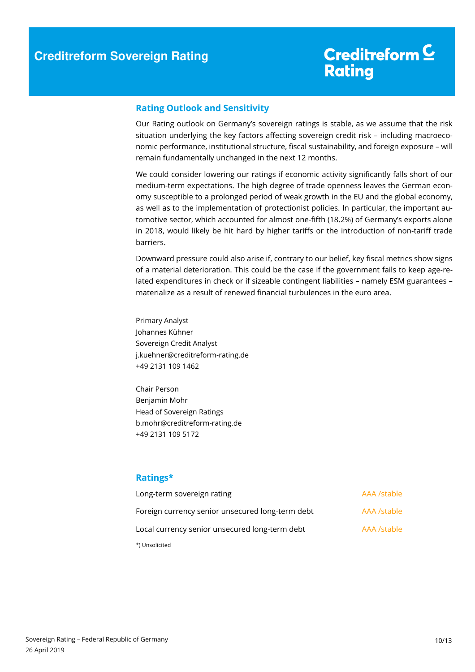#### **Rating Outlook and Sensitivity**

Our Rating outlook on Germany's sovereign ratings is stable, as we assume that the risk situation underlying the key factors affecting sovereign credit risk – including macroeconomic performance, institutional structure, fiscal sustainability, and foreign exposure – will remain fundamentally unchanged in the next 12 months.

We could consider lowering our ratings if economic activity significantly falls short of our medium-term expectations. The high degree of trade openness leaves the German economy susceptible to a prolonged period of weak growth in the EU and the global economy, as well as to the implementation of protectionist policies. In particular, the important automotive sector, which accounted for almost one-fifth (18.2%) of Germany's exports alone in 2018, would likely be hit hard by higher tariffs or the introduction of non-tariff trade barriers.

Downward pressure could also arise if, contrary to our belief, key fiscal metrics show signs of a material deterioration. This could be the case if the government fails to keep age-related expenditures in check or if sizeable contingent liabilities – namely ESM guarantees – materialize as a result of renewed financial turbulences in the euro area.

Primary Analyst Johannes Kühner Sovereign Credit Analyst j.kuehner@creditreform-rating.de +49 2131 109 1462

Chair Person Benjamin Mohr Head of Sovereign Ratings b.mohr@creditreform-rating.de +49 2131 109 5172

### **Ratings\***

| Long-term sovereign rating                       | AAA /stable |
|--------------------------------------------------|-------------|
| Foreign currency senior unsecured long-term debt | AAA /stable |
| Local currency senior unsecured long-term debt   | AAA /stable |
| *) Unsolicited                                   |             |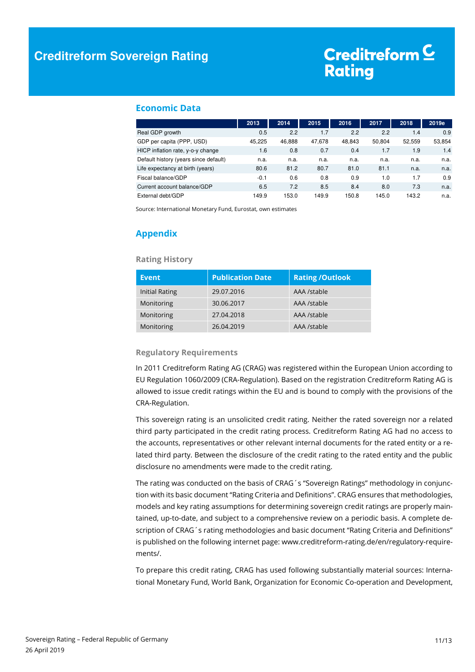#### **Economic Data**

|                                       | 2013   | 2014   | 2015   | 2016   | 2017   | 2018   | 2019e  |
|---------------------------------------|--------|--------|--------|--------|--------|--------|--------|
| Real GDP growth                       | 0.5    | 2.2    | 1.7    | 2.2    | 2.2    | 1.4    | 0.9    |
| GDP per capita (PPP, USD)             | 45.225 | 46.888 | 47,678 | 48.843 | 50.804 | 52.559 | 53,854 |
| HICP inflation rate, y-o-y change     | 1.6    | 0.8    | 0.7    | 0.4    | 1.7    | 1.9    | 1.4    |
| Default history (years since default) | n.a.   | n.a.   | n.a.   | n.a.   | n.a.   | n.a.   | n.a.   |
| Life expectancy at birth (years)      | 80.6   | 81.2   | 80.7   | 81.0   | 81.1   | n.a.   | n.a.   |
| Fiscal balance/GDP                    | $-0.1$ | 0.6    | 0.8    | 0.9    | 1.0    | 1.7    | 0.9    |
| Current account balance/GDP           | 6.5    | 7.2    | 8.5    | 8.4    | 8.0    | 7.3    | n.a.   |
| External debt/GDP                     | 149.9  | 153.0  | 149.9  | 150.8  | 145.0  | 143.2  | n.a.   |

Source: International Monetary Fund, Eurostat, own estimates

### **Appendix**

#### **Rating History**

| Event          | <b>Publication Date</b> | <b>Rating/Outlook</b> |
|----------------|-------------------------|-----------------------|
| Initial Rating | 29.07.2016              | AAA /stable           |
| Monitoring     | 30.06.2017              | AAA /stable           |
| Monitoring     | 27.04.2018              | AAA /stable           |
| Monitoring     | 26.04.2019              | AAA /stable           |

#### **Regulatory Requirements**

In 2011 Creditreform Rating AG (CRAG) was registered within the European Union according to EU Regulation 1060/2009 (CRA-Regulation). Based on the registration Creditreform Rating AG is allowed to issue credit ratings within the EU and is bound to comply with the provisions of the CRA-Regulation.

This sovereign rating is an unsolicited credit rating. Neither the rated sovereign nor a related third party participated in the credit rating process. Creditreform Rating AG had no access to the accounts, representatives or other relevant internal documents for the rated entity or a related third party. Between the disclosure of the credit rating to the rated entity and the public disclosure no amendments were made to the credit rating.

The rating was conducted on the basis of CRAG´s "Sovereign Ratings" methodology in conjunction with its basic document "Rating Criteria and Definitions". CRAG ensures that methodologies, models and key rating assumptions for determining sovereign credit ratings are properly maintained, up-to-date, and subject to a comprehensive review on a periodic basis. A complete description of CRAG´s rating methodologies and basic document "Rating Criteria and Definitions" is published on the following internet page: www.creditreform-rating.de/en/regulatory-requirements/.

To prepare this credit rating, CRAG has used following substantially material sources: International Monetary Fund, World Bank, Organization for Economic Co-operation and Development,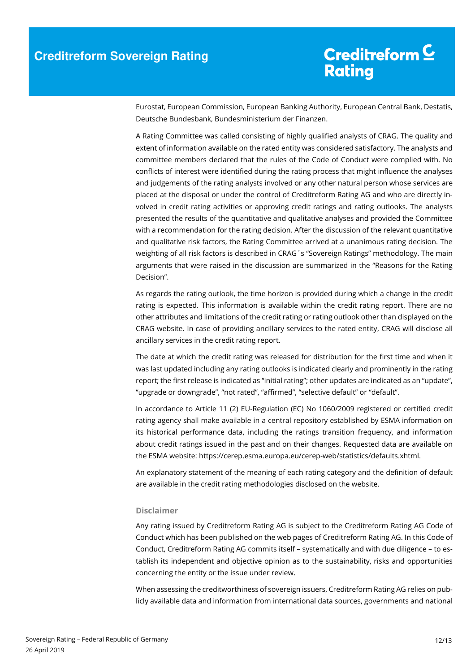Eurostat, European Commission, European Banking Authority, European Central Bank, Destatis, Deutsche Bundesbank, Bundesministerium der Finanzen.

A Rating Committee was called consisting of highly qualified analysts of CRAG. The quality and extent of information available on the rated entity was considered satisfactory. The analysts and committee members declared that the rules of the Code of Conduct were complied with. No conflicts of interest were identified during the rating process that might influence the analyses and judgements of the rating analysts involved or any other natural person whose services are placed at the disposal or under the control of Creditreform Rating AG and who are directly involved in credit rating activities or approving credit ratings and rating outlooks. The analysts presented the results of the quantitative and qualitative analyses and provided the Committee with a recommendation for the rating decision. After the discussion of the relevant quantitative and qualitative risk factors, the Rating Committee arrived at a unanimous rating decision. The weighting of all risk factors is described in CRAG´s "Sovereign Ratings" methodology. The main arguments that were raised in the discussion are summarized in the "Reasons for the Rating Decision".

As regards the rating outlook, the time horizon is provided during which a change in the credit rating is expected. This information is available within the credit rating report. There are no other attributes and limitations of the credit rating or rating outlook other than displayed on the CRAG website. In case of providing ancillary services to the rated entity, CRAG will disclose all ancillary services in the credit rating report.

The date at which the credit rating was released for distribution for the first time and when it was last updated including any rating outlooks is indicated clearly and prominently in the rating report; the first release is indicated as "initial rating"; other updates are indicated as an "update", "upgrade or downgrade", "not rated", "affirmed", "selective default" or "default".

In accordance to Article 11 (2) EU-Regulation (EC) No 1060/2009 registered or certified credit rating agency shall make available in a central repository established by ESMA information on its historical performance data, including the ratings transition frequency, and information about credit ratings issued in the past and on their changes. Requested data are available on the ESMA website: https://cerep.esma.europa.eu/cerep-web/statistics/defaults.xhtml.

An explanatory statement of the meaning of each rating category and the definition of default are available in the credit rating methodologies disclosed on the website.

#### **Disclaimer**

Any rating issued by Creditreform Rating AG is subject to the Creditreform Rating AG Code of Conduct which has been published on the web pages of Creditreform Rating AG. In this Code of Conduct, Creditreform Rating AG commits itself – systematically and with due diligence – to establish its independent and objective opinion as to the sustainability, risks and opportunities concerning the entity or the issue under review.

When assessing the creditworthiness of sovereign issuers, Creditreform Rating AG relies on publicly available data and information from international data sources, governments and national